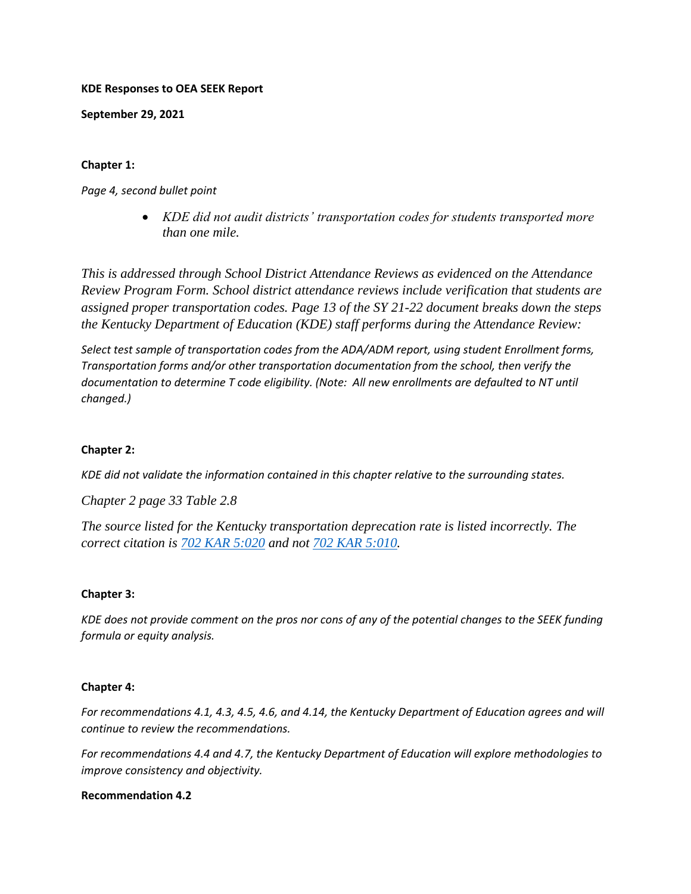#### **KDE Responses to OEA SEEK Report**

**September 29, 2021** 

# **Chapter 1:**

*Page 4, second bullet point*

 *KDE did not audit districts' transportation codes for students transported more than one mile.*

*This is addressed through School District Attendance Reviews as evidenced on the Attendance Review Program Form. School district attendance reviews include verification that students are assigned proper transportation codes. Page 13 of the SY 21-22 document breaks down the steps the Kentucky Department of Education (KDE) staff performs during the Attendance Review:*

*Select test sample of transportation codes from the ADA/ADM report, using student Enrollment forms, Transportation forms and/or other transportation documentation from the school, then verify the documentation to determine T code eligibility. (Note: All new enrollments are defaulted to NT until changed.)*

# **Chapter 2:**

*KDE did not validate the information contained in this chapter relative to the surrounding states.* 

*Chapter 2 page 33 Table 2.8*

*The source listed for the Kentucky transportation deprecation rate is listed incorrectly. The correct citation is [702 KAR 5:020](https://nam11.safelinks.protection.outlook.com/?url=https%3A%2F%2Fapps.legislature.ky.gov%2Flaw%2Fkar%2F702%2F005%2F020.pdf&data=04%7C01%7Crobin.kinney%40education.ky.gov%7C6ad2336e1cf24064432608d981b0f23c%7C9360c11f90e64706ad0025fcdc9e2ed1%7C0%7C0%7C637683419559172577%7CUnknown%7CTWFpbGZsb3d8eyJWIjoiMC4wLjAwMDAiLCJQIjoiV2luMzIiLCJBTiI6Ik1haWwiLCJXVCI6Mn0%3D%7C1000&sdata=wRpWqa31Hoa20Igjv%2F544qRWAOu1W6xB2z7Ejl2Vf9w%3D&reserved=0) and not [702 KAR 5:010.](https://nam11.safelinks.protection.outlook.com/?url=https%3A%2F%2Fapps.legislature.ky.gov%2Flaw%2Fkar%2F702%2F005%2F010.pdf&data=04%7C01%7Crobin.kinney%40education.ky.gov%7C6ad2336e1cf24064432608d981b0f23c%7C9360c11f90e64706ad0025fcdc9e2ed1%7C0%7C0%7C637683419559182570%7CUnknown%7CTWFpbGZsb3d8eyJWIjoiMC4wLjAwMDAiLCJQIjoiV2luMzIiLCJBTiI6Ik1haWwiLCJXVCI6Mn0%3D%7C1000&sdata=mx4PqGuq8o33fhBemvetFF9lN1HTtBZWi7u4dfqFh7U%3D&reserved=0)*

## **Chapter 3:**

*KDE does not provide comment on the pros nor cons of any of the potential changes to the SEEK funding formula or equity analysis.* 

## **Chapter 4:**

*For recommendations 4.1, 4.3, 4.5, 4.6, and 4.14, the Kentucky Department of Education agrees and will continue to review the recommendations.*

*For recommendations 4.4 and 4.7, the Kentucky Department of Education will explore methodologies to improve consistency and objectivity.* 

## **Recommendation 4.2**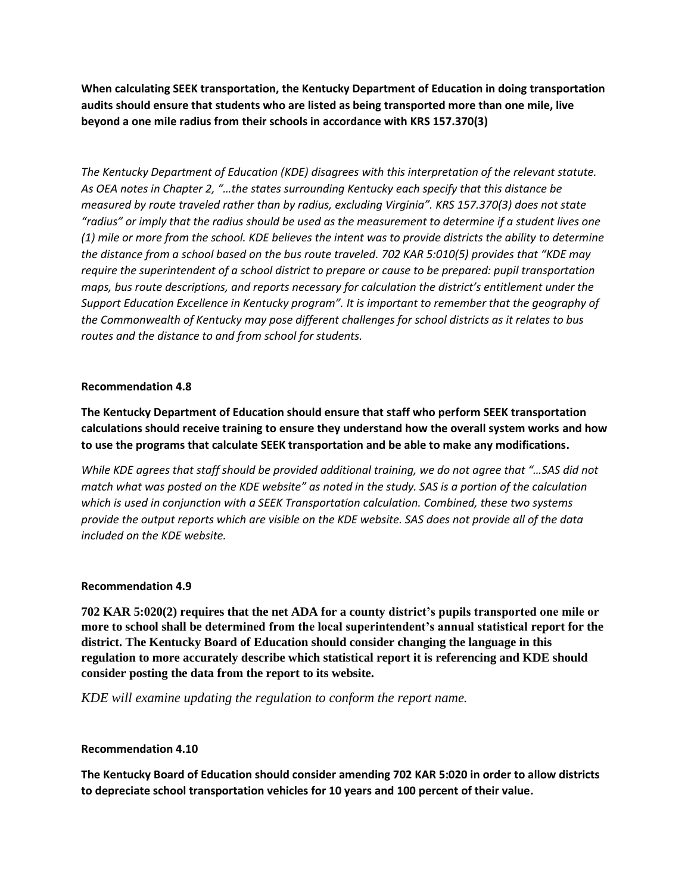**When calculating SEEK transportation, the Kentucky Department of Education in doing transportation audits should ensure that students who are listed as being transported more than one mile, live beyond a one mile radius from their schools in accordance with KRS 157.370(3)**

*The Kentucky Department of Education (KDE) disagrees with this interpretation of the relevant statute. As OEA notes in Chapter 2, "…the states surrounding Kentucky each specify that this distance be measured by route traveled rather than by radius, excluding Virginia". KRS 157.370(3) does not state "radius" or imply that the radius should be used as the measurement to determine if a student lives one (1) mile or more from the school. KDE believes the intent was to provide districts the ability to determine the distance from a school based on the bus route traveled. 702 KAR 5:010(5) provides that "KDE may require the superintendent of a school district to prepare or cause to be prepared: pupil transportation maps, bus route descriptions, and reports necessary for calculation the district's entitlement under the Support Education Excellence in Kentucky program". It is important to remember that the geography of the Commonwealth of Kentucky may pose different challenges for school districts as it relates to bus routes and the distance to and from school for students.* 

## **Recommendation 4.8**

**The Kentucky Department of Education should ensure that staff who perform SEEK transportation calculations should receive training to ensure they understand how the overall system works and how to use the programs that calculate SEEK transportation and be able to make any modifications.**

*While KDE agrees that staff should be provided additional training, we do not agree that "…SAS did not match what was posted on the KDE website" as noted in the study. SAS is a portion of the calculation which is used in conjunction with a SEEK Transportation calculation. Combined, these two systems provide the output reports which are visible on the KDE website. SAS does not provide all of the data included on the KDE website.* 

## **Recommendation 4.9**

**702 KAR 5:020(2) requires that the net ADA for a county district's pupils transported one mile or more to school shall be determined from the local superintendent's annual statistical report for the district. The Kentucky Board of Education should consider changing the language in this regulation to more accurately describe which statistical report it is referencing and KDE should consider posting the data from the report to its website.**

*KDE will examine updating the regulation to conform the report name.*

#### **Recommendation 4.10**

**The Kentucky Board of Education should consider amending 702 KAR 5:020 in order to allow districts to depreciate school transportation vehicles for 10 years and 100 percent of their value.**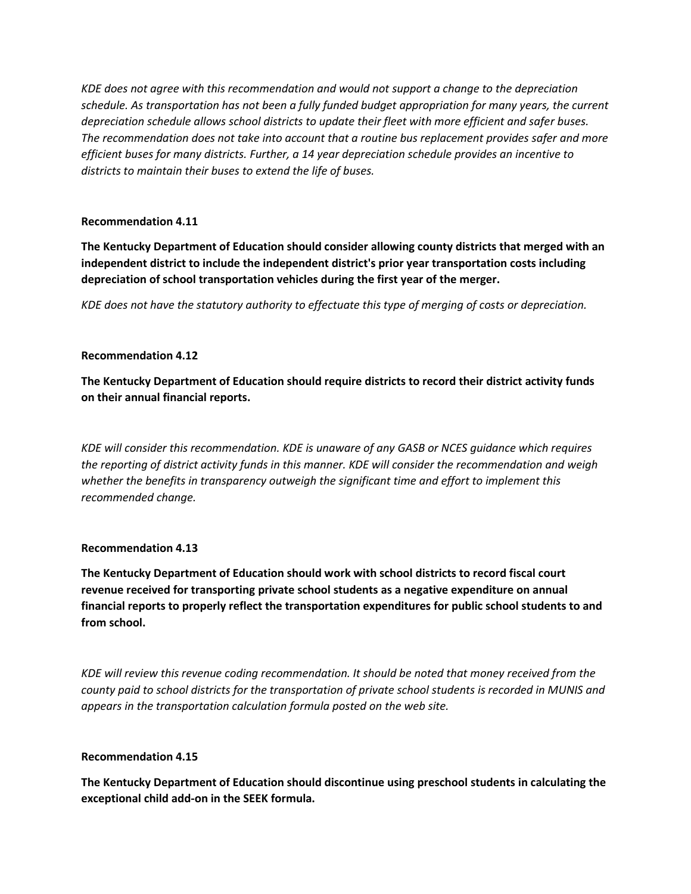*KDE does not agree with this recommendation and would not support a change to the depreciation schedule. As transportation has not been a fully funded budget appropriation for many years, the current depreciation schedule allows school districts to update their fleet with more efficient and safer buses. The recommendation does not take into account that a routine bus replacement provides safer and more efficient buses for many districts. Further, a 14 year depreciation schedule provides an incentive to districts to maintain their buses to extend the life of buses.* 

#### **Recommendation 4.11**

**The Kentucky Department of Education should consider allowing county districts that merged with an independent district to include the independent district's prior year transportation costs including depreciation of school transportation vehicles during the first year of the merger.** 

*KDE does not have the statutory authority to effectuate this type of merging of costs or depreciation.* 

## **Recommendation 4.12**

**The Kentucky Department of Education should require districts to record their district activity funds on their annual financial reports.**

*KDE will consider this recommendation. KDE is unaware of any GASB or NCES guidance which requires the reporting of district activity funds in this manner. KDE will consider the recommendation and weigh whether the benefits in transparency outweigh the significant time and effort to implement this recommended change.* 

## **Recommendation 4.13**

**The Kentucky Department of Education should work with school districts to record fiscal court revenue received for transporting private school students as a negative expenditure on annual financial reports to properly reflect the transportation expenditures for public school students to and from school.**

*KDE will review this revenue coding recommendation. It should be noted that money received from the county paid to school districts for the transportation of private school students is recorded in MUNIS and appears in the transportation calculation formula posted on the web site.* 

## **Recommendation 4.15**

**The Kentucky Department of Education should discontinue using preschool students in calculating the exceptional child add-on in the SEEK formula.**